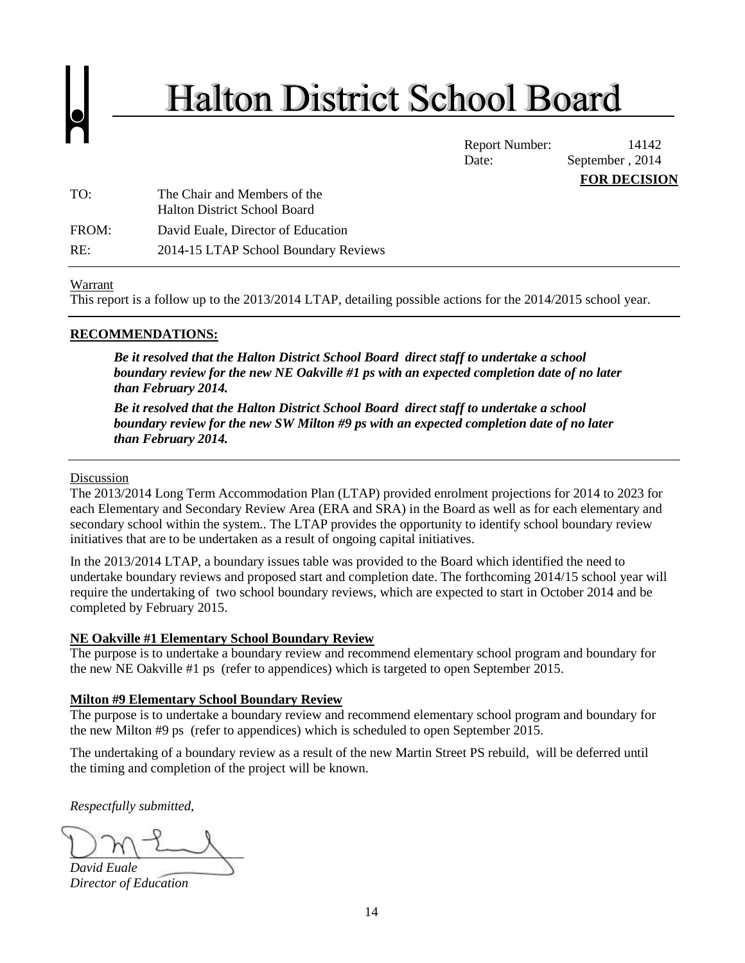# **Halton District School Board**

Report Number: 14142 Date: September, 2014 **FOR DECISION**

| TO:   | The Chair and Members of the<br><b>Halton District School Board</b> |
|-------|---------------------------------------------------------------------|
| FROM: | David Euale, Director of Education                                  |
| RE:   | 2014-15 LTAP School Boundary Reviews                                |

# Warrant

This report is a follow up to the 2013/2014 LTAP, detailing possible actions for the 2014/2015 school year.

# **RECOMMENDATIONS:**

*Be it resolved that the Halton District School Board direct staff to undertake a school boundary review for the new NE Oakville #1 ps with an expected completion date of no later than February 2014.* 

*Be it resolved that the Halton District School Board direct staff to undertake a school boundary review for the new SW Milton #9 ps with an expected completion date of no later than February 2014.* 

#### Discussion

The 2013/2014 Long Term Accommodation Plan (LTAP) provided enrolment projections for 2014 to 2023 for each Elementary and Secondary Review Area (ERA and SRA) in the Board as well as for each elementary and secondary school within the system.. The LTAP provides the opportunity to identify school boundary review initiatives that are to be undertaken as a result of ongoing capital initiatives.

In the 2013/2014 LTAP, a boundary issues table was provided to the Board which identified the need to undertake boundary reviews and proposed start and completion date. The forthcoming 2014/15 school year will require the undertaking of two school boundary reviews, which are expected to start in October 2014 and be completed by February 2015.

# **NE Oakville #1 Elementary School Boundary Review**

The purpose is to undertake a boundary review and recommend elementary school program and boundary for the new NE Oakville #1 ps (refer to appendices) which is targeted to open September 2015.

# **Milton #9 Elementary School Boundary Review**

The purpose is to undertake a boundary review and recommend elementary school program and boundary for the new Milton #9 ps (refer to appendices) which is scheduled to open September 2015.

The undertaking of a boundary review as a result of the new Martin Street PS rebuild, will be deferred until the timing and completion of the project will be known.

*Respectfully submitted,*

 $\cup$   $\wedge$   $\cup$ *David Euale* 

*Director of Education*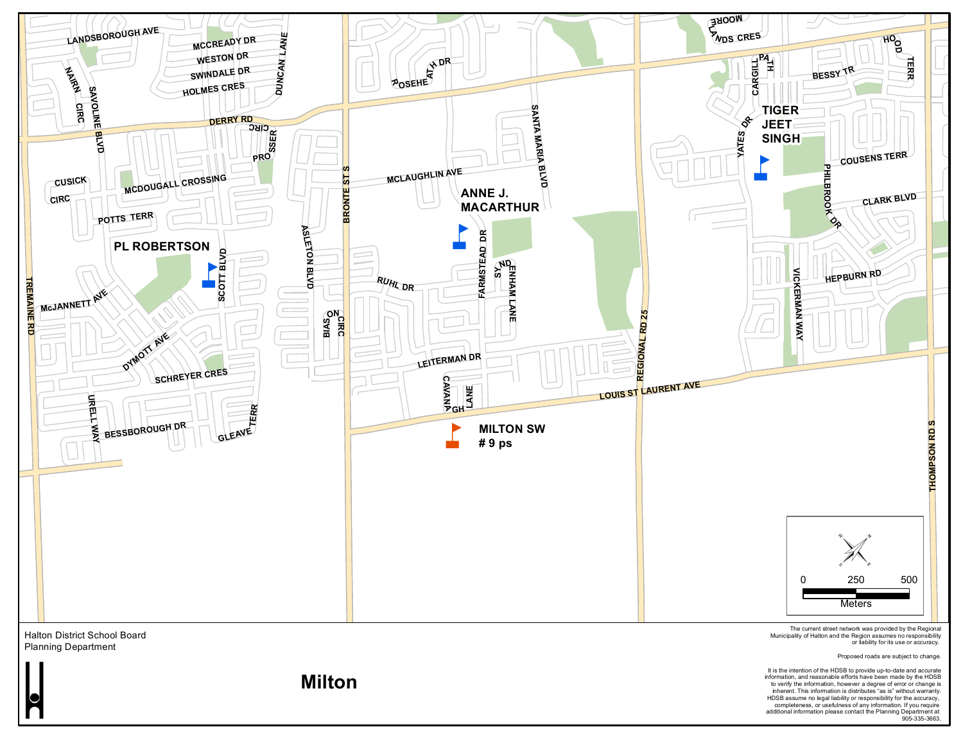

It is the intention of the HDSB to provide up-to-date and accurate information, and reasonable efforts have been made by the HDSB<br>to verify the information, however a degree of error or change is<br>inherent. This information is distributed is is "without warranty.<br>HDSB assume no legal liabi completeness, or usefulness of any information. If you require additional information please contact the Planning Department at 905-335-3663.

**Milton**